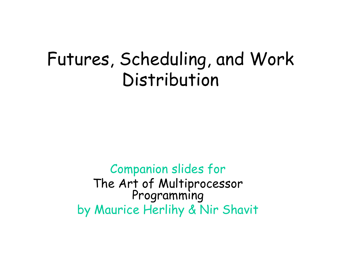#### Futures, Scheduling, and Work Distribution

Companion slides for The Art of Multiprocessor<br>Programming by Maurice Herlihy & Nir Shavit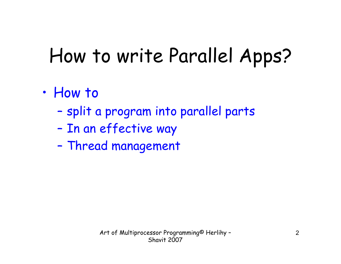# How to write Parallel Apps?

- • How to
	- –split a program into parallel parts
	- –In an effective way
	- –Thread management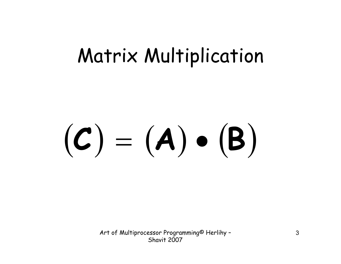#### **<sup>C</sup> A**  $\bullet$  $\Big($ **B**  $\left.\rule{0pt}{12pt}\right)$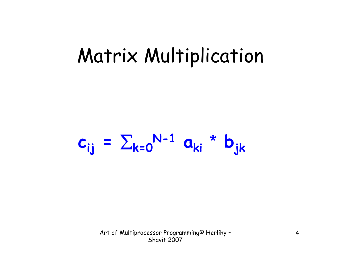$c_{ij} = \sum_{k=0}^{N-1} a_{ki}$ **\*** $\mathbf{b}_{\mathbf{j}\mathbf{k}}$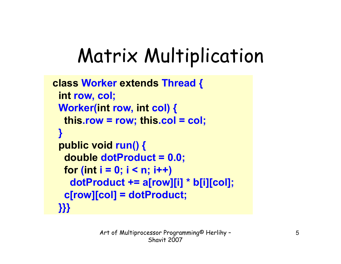```
class Worker extends Thread {
 int row, col;
Worker(int row, int col) {
  this.row = row; this.col = col;
}
public void run() {
  double dotProduct = 0.0;
  for
(int i = 0; i < n; i++)
   dotProduct += a[row][i] * b[i][col];
  c[row][col] = dotProduct;
}}}
```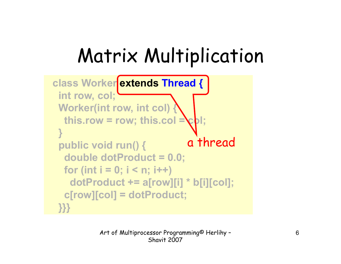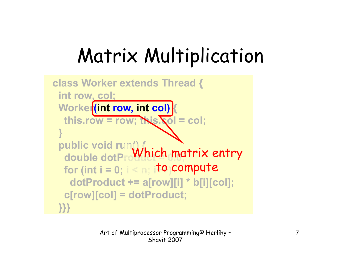```
class Worker extends Thread {
 int row, col;
 Worker
(int row, int col) 
{
  this.row = row; this.col = col;
 }
 public void run() {
  double dotProMhich matrix entry
  for (int i = 0; i < n; ito compute
   dotProduct += a[row][i] * b[i][col];
  c[row][col] = dotProduct;
 }}}
```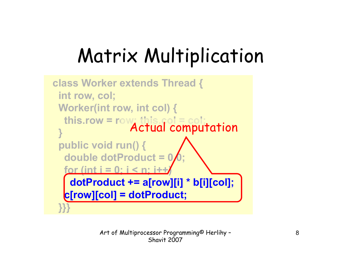```
class Worker extends Thread {
 int row, col;
 Worker(int row, int col) {
  this.row = row; this.col = col;
 }
 public void run() {
  double dotProduct = 0.0;
  for (int i = 0; j < n; i+1)dotProduct += a[row][i] * b[i][col];
  c[row][col] = dotProduct;
 }}}
                 Actual computation
```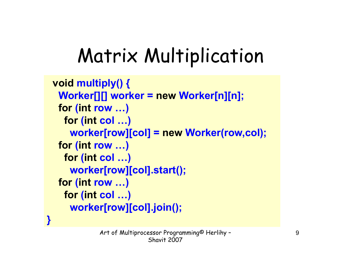```
void multiply() {
Worker[][] worker = new Worker[n][n];
 for
(int row …)
  for
(int col …)
   worker[row][col] = new Worker(row,col);
 for
(int row …)
  for
(int col …)
   worker[row][col].start();
 for
(int row …)
  for
(int col …)
   worker[row][col].join();
```
**}**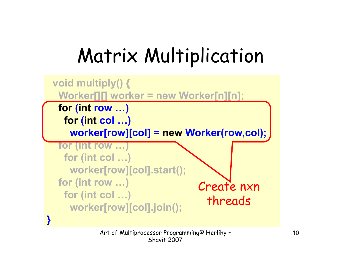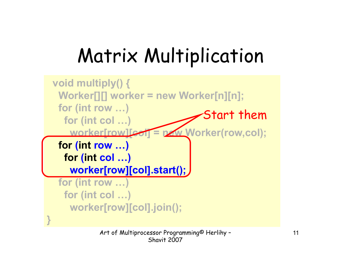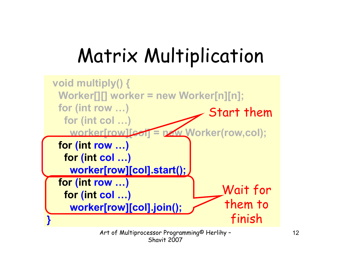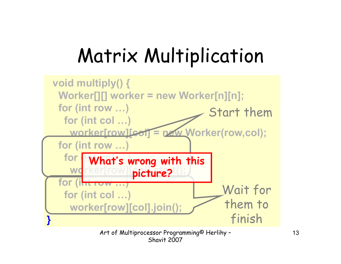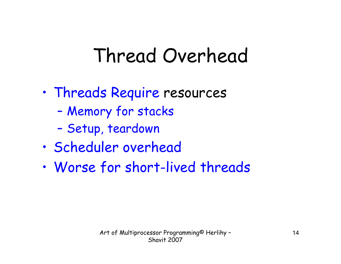## Thread Overhead

- • Threads Require resources
	- –Memory for stacks
	- –Setup, teardown
- •Scheduler overhead
- •Worse for short-lived threads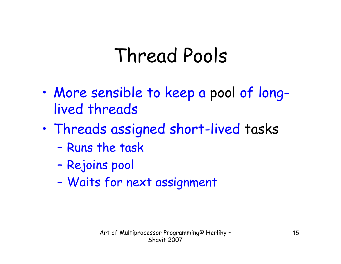## Thread Pools

- • More sensible to keep a pool of longlived threads
- • Threads assigned short-lived tasks
	- –Runs the task
	- –Rejoins pool
	- –Waits for next assignment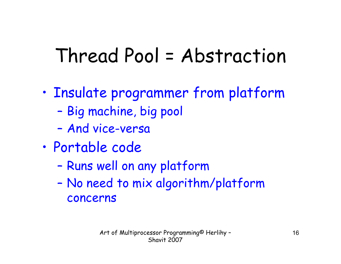## Thread Pool = Abstraction

- • Insulate programmer from platform
	- –Big machine, big pool
	- –And vice-versa
- • Portable code
	- –Runs well on any platform
	- – No need to mix algorithm/platform concerns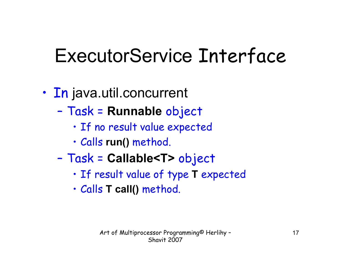## ExecutorService Interface

- • In java.util.concurrent
	- – Task = **Runnable** object
		- If no result value expected
		- Calls **run()** method.
	- – Task = **Callable<T>** object
		- If result value of type **T** expected
		- Calls **T call()** method.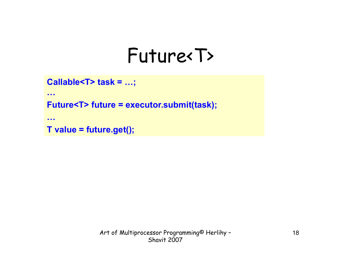#### Future<T>

```
Callable<T> task = …;
```
**…**

**Future<T> future = executor.submit(task);**

**…**

```
T value = future.get();
```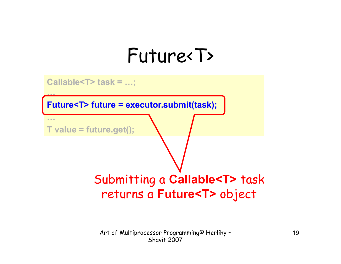### Future<T>

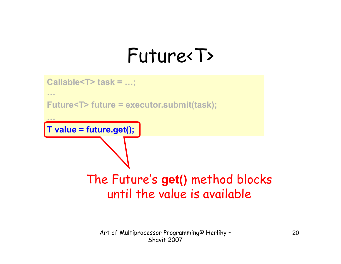### Future<T>

```
Callable<T> task = …; 
…Future<T> future = executor.submit(task);
…T value = future.get(); 
        The Future's get() method blocks 
             until the value is available
```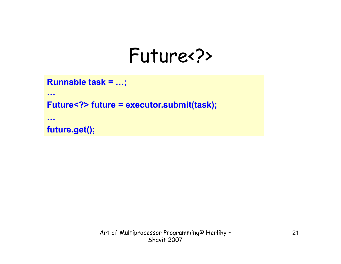#### Future<?>

```
Runnable task = …;
```
**…**

**Future<?> future = executor.submit(task);**

**…**

**future.get();**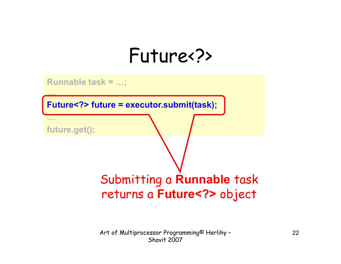#### Future<?>

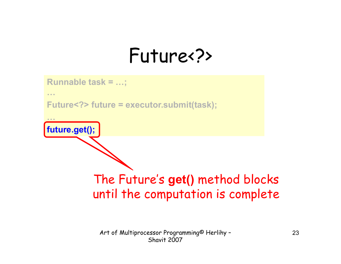### Future<?>

**Runnable task = …; …Future<?> future = executor.submit(task); …future.get();**  The Future's **get()** method blocks until the computation is complete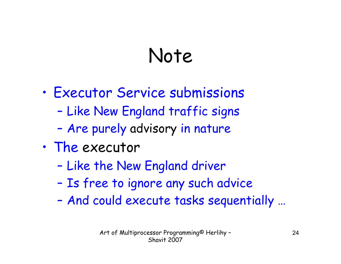# Note

- • Executor Service submissions
	- –Like New England traffic signs
	- –Are purely advisory in nature
- • The executor
	- –Like the New England driver
	- –Is free to ignore any such advice
	- –And could execute tasks sequentially …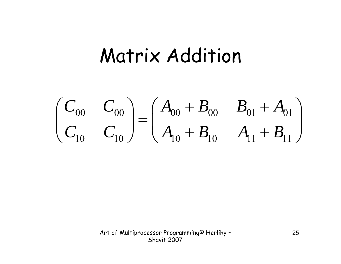#### Matrix Addition

$$
\begin{pmatrix} C_{00} & C_{00} \ C_{10} & C_{10} \end{pmatrix} = \begin{pmatrix} A_{00} + B_{00} & B_{01} + A_{01} \ A_{10} + B_{10} & A_{11} + B_{11} \end{pmatrix}
$$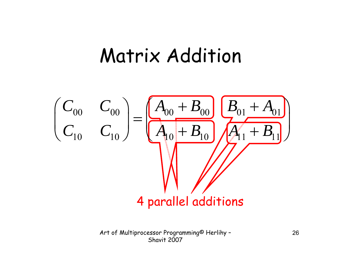#### Matrix Addition

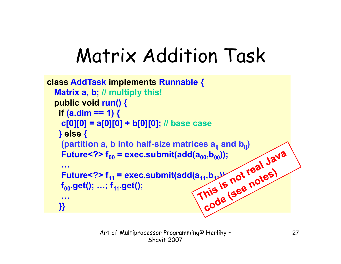```
class AddTask implements Runnable {
  Matrix a, b; // multiply this!
  public void run() {
    if (a.dim == 1) {
    c[0][0] = a[0][0] + b[0][0]; // base case
    } else
{
     (partition a, b into half-size matrices \mathbf{a}_{\mathsf{i}\mathsf{j}} and \mathbf{b}_{\mathsf{i}\mathsf{j}})
     Future<?> f<sub>oo</sub> = exec.submit(add(a<sub>oo</sub>,b<sub>00</sub>));
     …Future<?> f11 = exec.submit(add(a11,b11));
    f<sub>00</sub>.get(); …; f<sub>11</sub>.get();
     …}}
```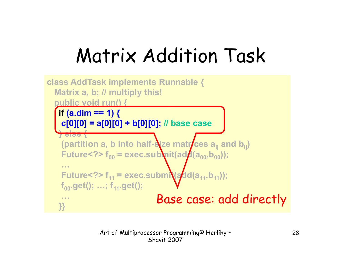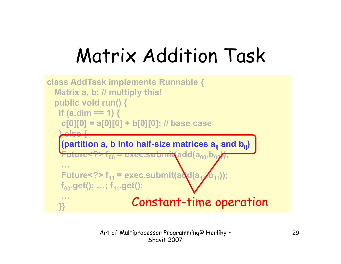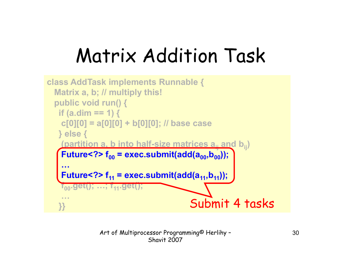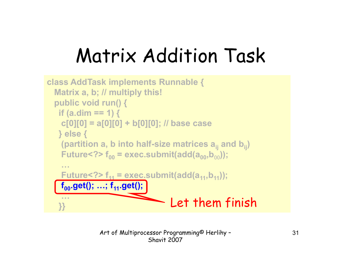```
class AddTask implements Runnable {
  Matrix a, b; // multiply this!
  public void run() {
   if (a.dim == 1) {
    c[0][0] = a[0][0] + b[0][0]; // base case
   } else {
    (partition a, b into half-size matrices \mathbf{a}_{\mathsf{i}\mathsf{j}} and \mathbf{b}_{\mathsf{i}\mathsf{j}})
    Future<?> f00 = exec.submit(add(a00,b00));
    …Future<?> f11 = exec.submit(add(a11,b11));
    f<sub>00</sub>.get(); ...; f<sub>11</sub>.get(); |
    …}} Let them finish
```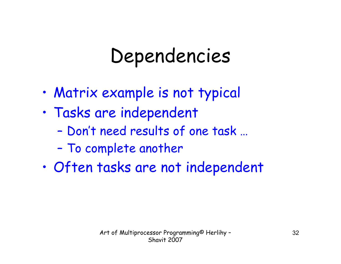## Dependencies

- •Matrix example is not typical
- • Tasks are independent
	- –Don't need results of one task …
	- –To complete another
- •Often tasks are not independent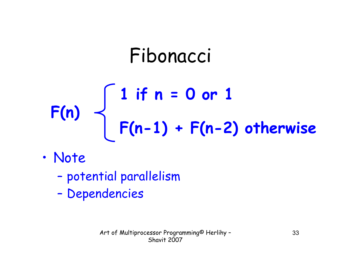# Fibonacci **1 if n = 0 or 1 F(n) F(n-1) + F(n-2) otherwise**

- • Note
	- –potential parallelism
	- –Dependencies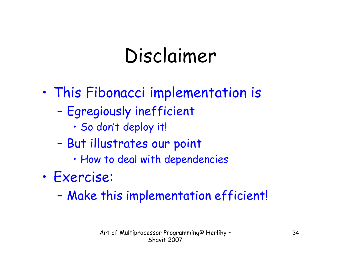# Disclaimer

- • This Fibonacci implementation is
	- – Egregiously inefficient
		- So don't deploy it!
	- – But illustrates our point
		- How to deal with dependencies
- • Exercise:
	- –Make this implementation efficient!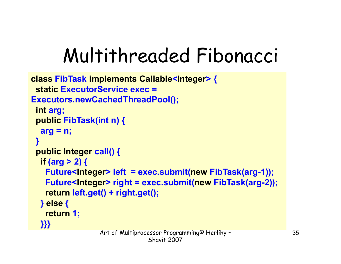# Multithreaded Fibonacci

```
class FibTask implements Callable
<Integer> {
 static ExecutorService exec = 
Executors.newCachedThreadPool();
 int arg;
 public FibTask(int n) {
  arg = n;
 }
 public Integer call() {
  if (arg > 2) {
   Future<Integer> left = exec.submit(new FibTask(arg-1));
   Future<Integer> right = exec.submit(new FibTask(arg-2));
    return left.get() + right.get();
  } else
{
    return 1;
  }}}
```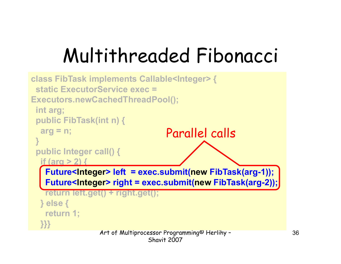# Multithreaded Fibonacci

```
class FibTask implements Callable<Integer> {
 static ExecutorService exec = Executors.newCachedThreadPool();
 int arg;
 public FibTask(int n) {
  arg = n;
 }
 public Integer call() {
  if (arg > 2) {
   Future<Integer> left = exec.submit(new FibTask(arg-1));
   Future<Integer> right = exec.submit(new FibTask(arg-2));
   return left.get() + right.get();
  } else {
   return 1;
  }}}
                                  Parallel calls
```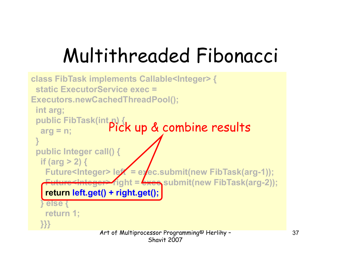# Multithreaded Fibonacci

```
class FibTask implements Callable<Integer> {
 static ExecutorService exec = Executors.newCachedThreadPool();
 int arg;
 public FibTask(int n) {
  arg = n;
Pick up & combine results}
 public Integer call() {
  if (arg > 2) {
   Future<Integer> lef = exec.submit(new FibTask(arg-1));
   <del>Future<Integer></del> right = <del>exec</del>.submit(new FibTask(arg-2));
    return left.get() + right.get();
   } else {
   return 1;
  }}}
```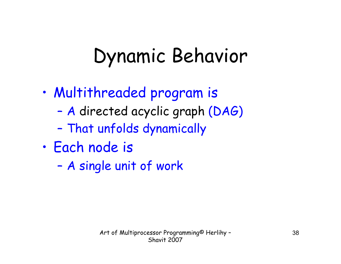## Dynamic Behavior

- • Multithreaded program is
	- –A directed acyclic graph (DAG)
	- –That unfolds dynamically
- • Each node is
	- –A single unit of work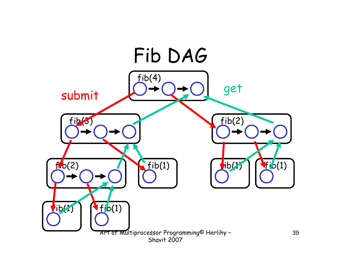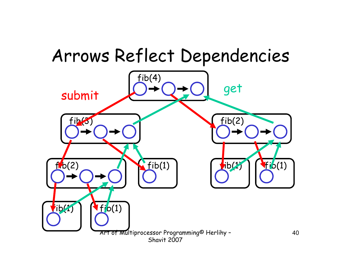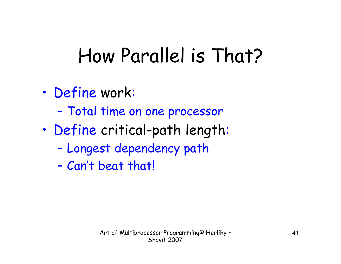## How Parallel is That?

- • Define work:
	- –Total time on one processor
- • Define critical-path length:
	- –Longest dependency path
	- –Can't beat that!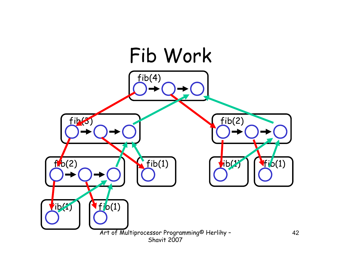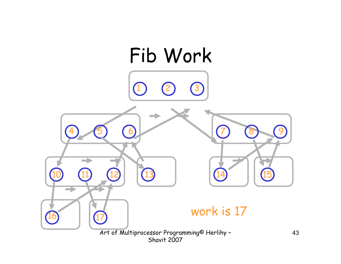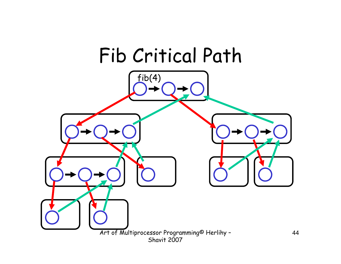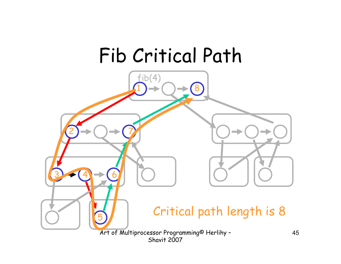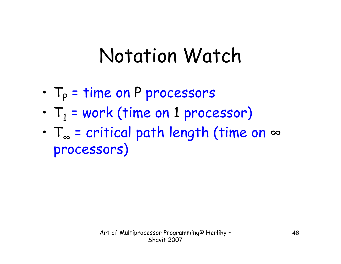## Notation Watch

- • $T_P$  = time on P processors
- • $T_1$  = work (time on 1 processor)
- • T ∞ = critical path length (time on ∞ processors)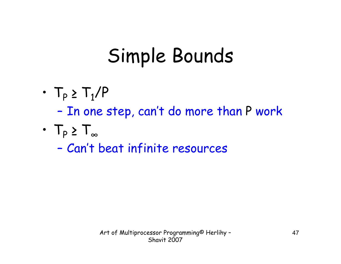## Simple Bounds

- • $T_P \geq T_1/P$ –In one step, can't do more than P work
- • $T_{\rho} \geq T_{\infty}$

–Can't beat infinite resources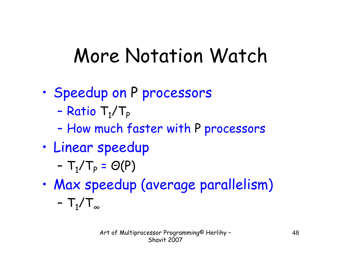## More Notation Watch

- • Speedup on P processors
	- –Ratio  $T_1/T_p$
	- –How much faster with P processors
- • Linear speedup
	- $T_1/T_P = \Theta(P)$
- • Max speedup (average parallelism)
	- $T_{1}/T_{\infty}$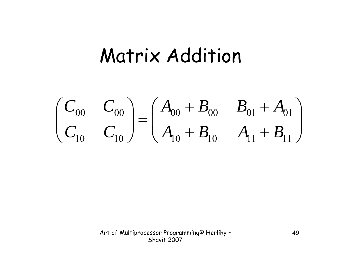#### Matrix Addition

$$
\begin{pmatrix} C_{00} & C_{00} \ C_{10} & C_{10} \end{pmatrix} = \begin{pmatrix} A_{00} + B_{00} & B_{01} + A_{01} \ A_{10} + B_{10} & A_{11} + B_{11} \end{pmatrix}
$$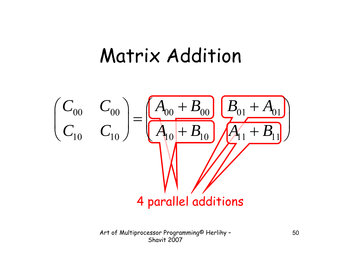#### Matrix Addition

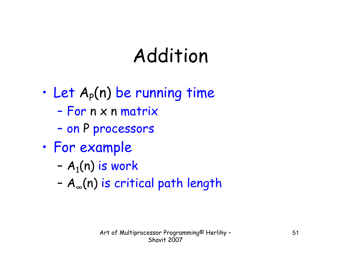- •Let  $A_p(n)$  be running time
	- –For n x n matrix
	- on P processors
- • For example
	- ${\sf A}_1({\sf n})$  is work
	- A <sup>∞</sup>(n) is critical path length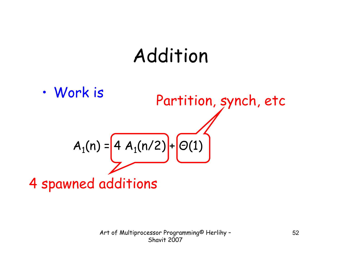• Work is  $A_1(n) = 4 A_1(n/2) + O(1)$ 4 spawned additions Partition, synch, etc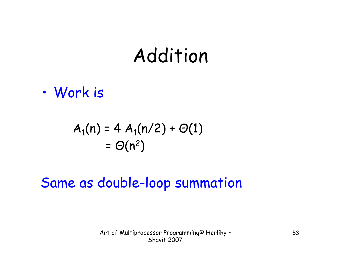•Work is

$$
A_1(n) = 4 A_1(n/2) + \Theta(1)
$$
  
= 
$$
\Theta(n^2)
$$

#### Same as double-loop summation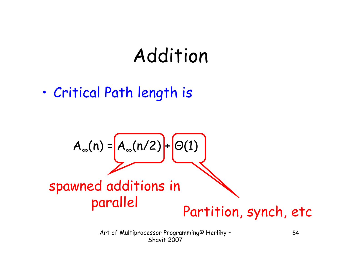•Critical Path length is

$$
A_{\infty}(n) = A_{\infty}(n/2) + O(1)
$$
\nspawned additions in parallel

\nPartition, synch, etc.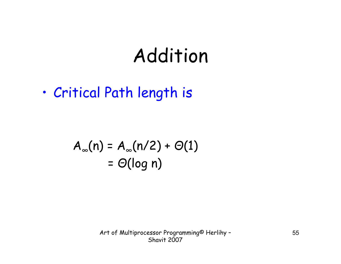•Critical Path length is

$$
A_{\infty}(n) = A_{\infty}(n/2) + \Theta(1)
$$
  
=  $\Theta(\log n)$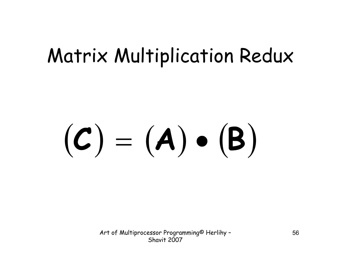#### Matrix Multiplication Redux

#### **<sup>C</sup> A**  $\bullet$  $\Big($ **B**  $\left.\rule{0pt}{12pt}\right)$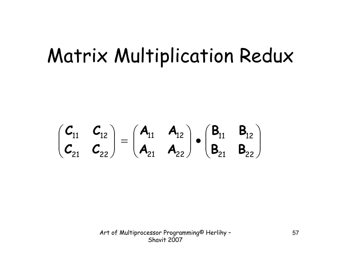#### Matrix Multiplication Redux

$$
\begin{pmatrix} \textbf{\textit{C}}_{11} & \textbf{\textit{C}}_{12} \\ \textbf{\textit{C}}_{21} & \textbf{\textit{C}}_{22} \end{pmatrix} = \begin{pmatrix} \textbf{\textit{A}}_{11} & \textbf{\textit{A}}_{12} \\ \textbf{\textit{A}}_{21} & \textbf{\textit{A}}_{22} \end{pmatrix} \bullet \begin{pmatrix} \textbf{\textit{B}}_{11} & \textbf{\textit{B}}_{12} \\ \textbf{\textit{B}}_{21} & \textbf{\textit{B}}_{22} \end{pmatrix}
$$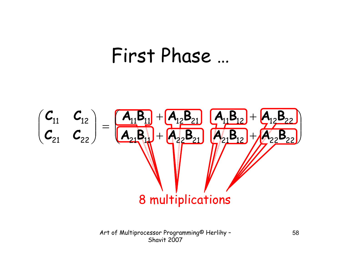#### First Phase …

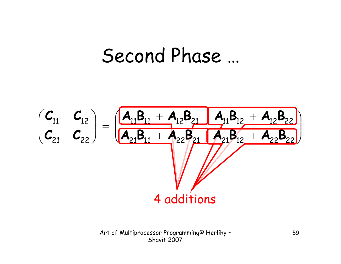#### Second Phase …

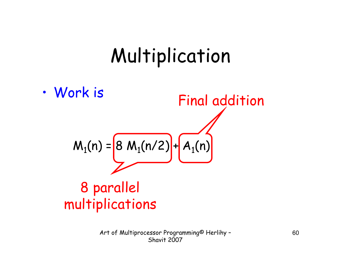• Work is  $M_1(n) = 8 M_1(n/2) + A_1(n)$ 8 parallel multiplications Final addition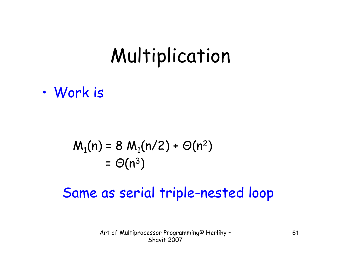•Work is

$$
M_1(n) = 8 M_1(n/2) + \Theta(n^2)
$$
  
=  $\Theta(n^3)$ 

#### Same as serial triple-nested loop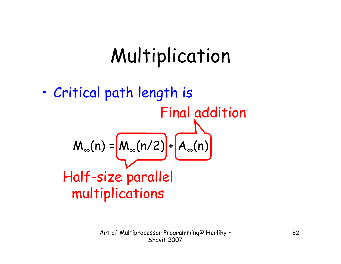• Critical path length is  $\mathsf{M}_\infty(n)$  =  $\mathsf{M}_\infty(n/2)$  +  $\mathsf{A}_\infty(n)$ Half-size parallel multiplications Final addition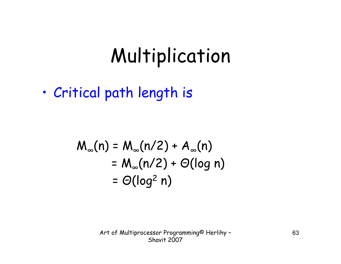•Critical path length is

$$
M_{\infty}(n) = M_{\infty}(n/2) + A_{\infty}(n)
$$
  
= M\_{\infty}(n/2) + O(log n)  
= O(log<sup>2</sup> n)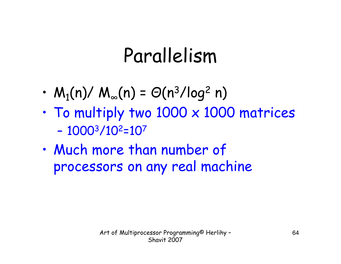## Parallelism

- • $M_1(n)/ M_\infty(n) = \Theta(n^3/\log^2 n)$
- • To multiply two 1000 x 1000 matrices – 10003/10 2=107
- • Much more than number of processors on any real machine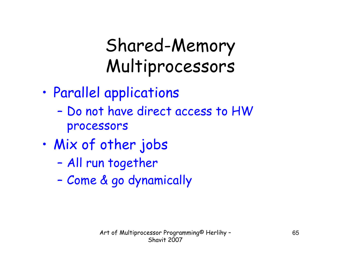#### Shared-Memory Multiprocessors

- • Parallel applications
	- – Do not have direct access to HW processors
- • Mix of other jobs
	- –All run together
	- –Come & go dynamically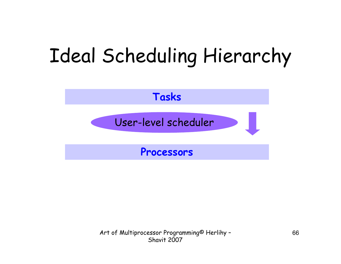## Ideal Scheduling Hierarchy

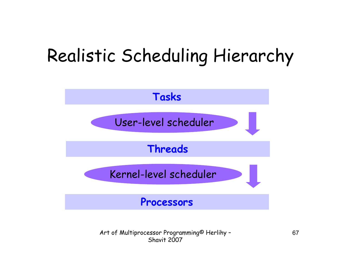#### Realistic Scheduling Hierarchy

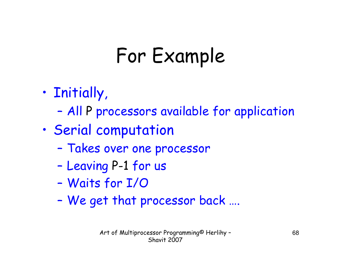## For Example

- • Initially,
	- –All P processors available for application
- • Serial computation
	- –Takes over one processor
	- –Leaving P-1 for us
	- –Waits for I/O
	- –We get that processor back ….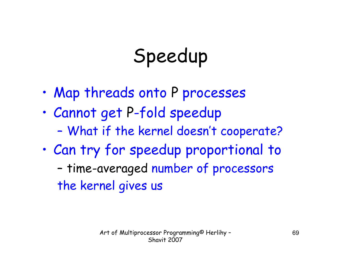# Speedup

- •Map threads onto P processes
- • Cannot get P-fold speedup
	- –What if the kernel doesn't cooperate?
- • Can try for speedup proportional to – time-averaged number of processors the kernel gives us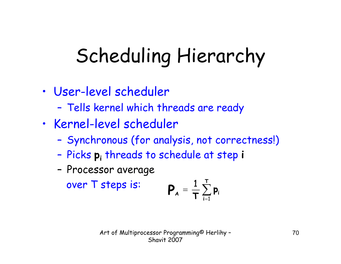## Scheduling Hierarchy

- • User-level scheduler
	- –Tells kernel which threads are ready
- • Kernel-level scheduler
	- –Synchronous (for analysis, not correctness!)
	- Picks **pi** threads to schedule at step **<sup>i</sup>**
	- –Processor average

over T steps is:

$$
\boldsymbol{P}_{\mathbf{A}} = \frac{1}{\boldsymbol{\mathsf{T}}} \sum_{i=1}^{\mathsf{T}} \boldsymbol{p}_i
$$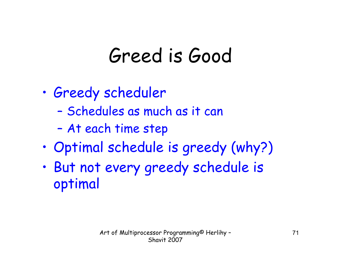## Greed is Good

- • Greedy scheduler
	- –Schedules as much as it can
	- –At each time step
- •Optimal schedule is greedy (why?)
- • But not every greedy schedule is optimal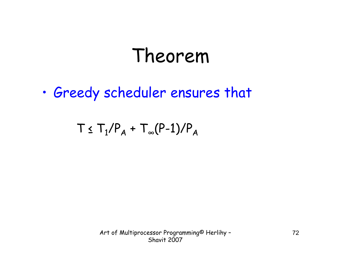#### Theorem

•Greedy scheduler ensures that

 $\top$   $\leq$   $\top_1/\mathsf{P}_{\mathsf{A}}$  +  $\top_{\infty}(\mathsf{P-1})/\mathsf{P}_{\mathsf{A}}$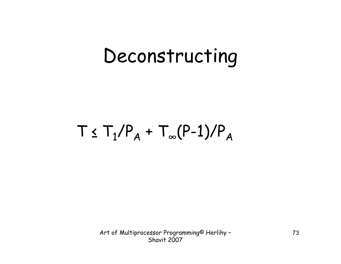#### $T \nleq T^{}_1/P^{}_A + T^{}_\infty(P\text{--}1)/P^{}_A$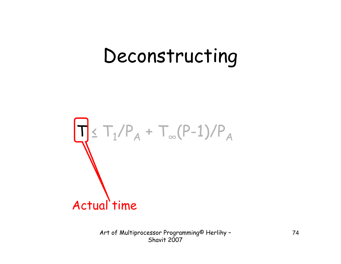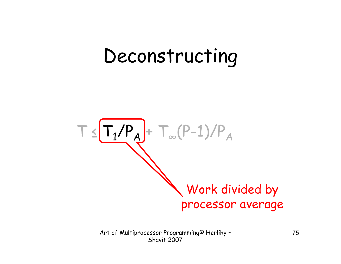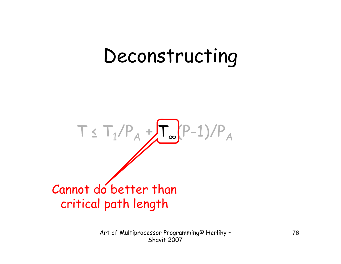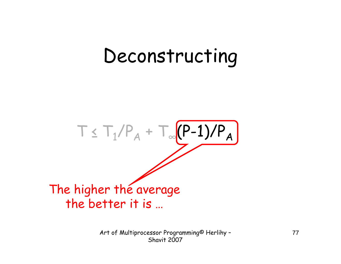The higher the average the better it is ...

Art of Multiprocessor Programming<sup>©</sup> Herlihy -**Shavit 2007**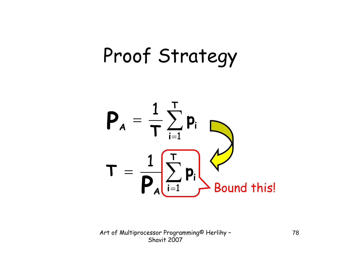# Proof Strategy

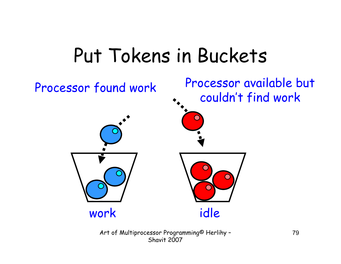### Put Tokens in Buckets

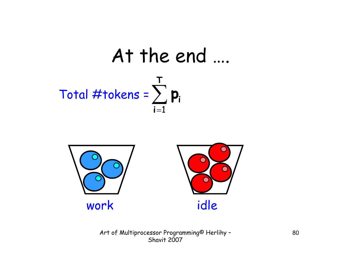



Art of Multiprocessor Programming<sup>©</sup> Herlihy -Shavit 2007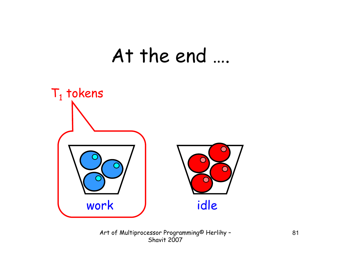#### At the end ....



Art of Multiprocessor Programming<sup>®</sup> Herlihy -Shavit 2007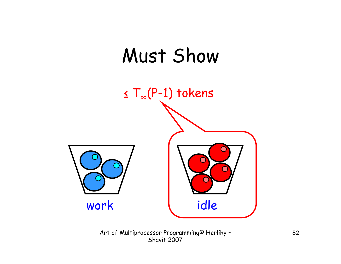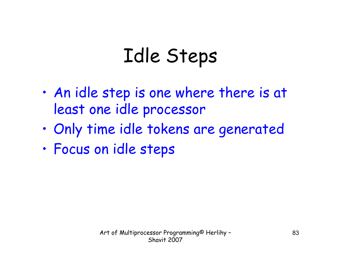## Idle Steps

- • An idle step is one where there is at least one idle processor
- •Only time idle tokens are generated
- •Focus on idle steps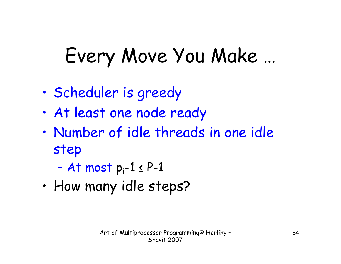## Every Move You Make …

- •Scheduler is greedy
- •At least one node ready
- • Number of idle threads in one idle step
	- –At most  $p_i-1 \leq P-1$
- •How many idle steps?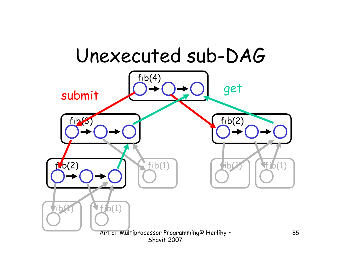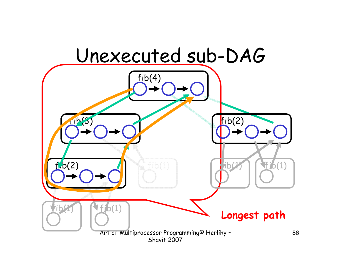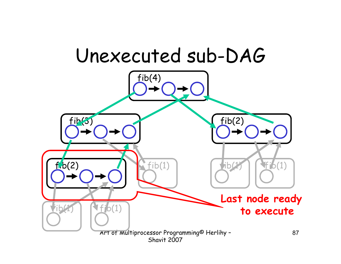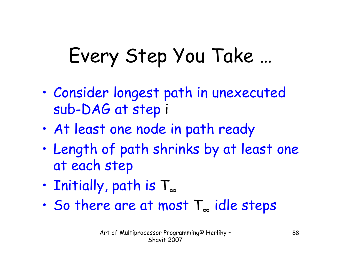# Every Step You Take …

- • Consider longest path in unexecuted sub-DAG at step i
- •At least one node in path ready
- • Length of path shrinks by at least one at each step
- •Initially, path is T ∞
- •So there are at most T ∞ idle steps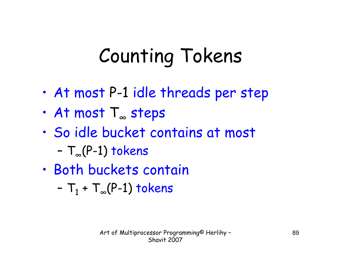# Counting Tokens

- •At most P-1 idle threads per step
- •At most T ∞ steps
- • So idle bucket contains at most
	- T <sup>∞</sup>(P-1) tokens
- • Both buckets contain
	- T $_{1}$  + T $_{\infty}$ (P-1) tokens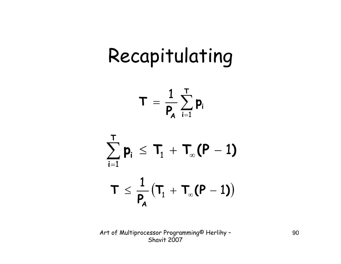## Recapitulating

$$
\boldsymbol{T}~=~\frac{1}{\boldsymbol{P}_{\!\!{\boldsymbol{A}}}}\sum_{i=1}^{\boldsymbol{T}}\boldsymbol{p}_i
$$

$$
\sum_{i=1}^{T} \mathbf{p}_i \leq T_1 + T_{\infty}(\mathbf{P} - 1)
$$
  

$$
T \leq \frac{1}{P_A} (T_1 + T_{\infty}(\mathbf{P} - 1))
$$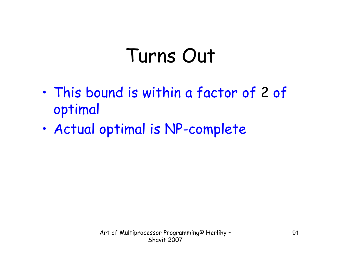### Turns Out

- • This bound is within a factor of 2 of optimal
- •Actual optimal is NP-complete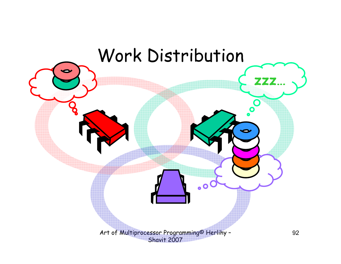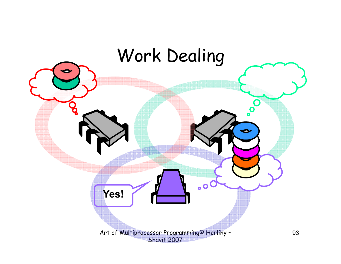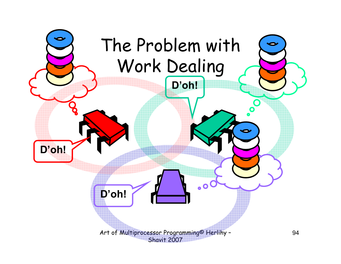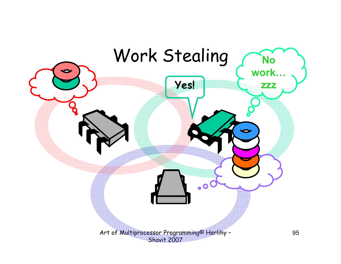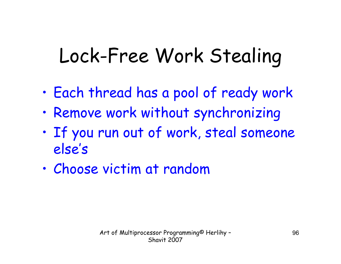# Lock-Free Work Stealing

- •Each thread has a pool of ready work
- •Remove work without synchronizing
- • If you run out of work, steal someone else's
- •Choose victim at random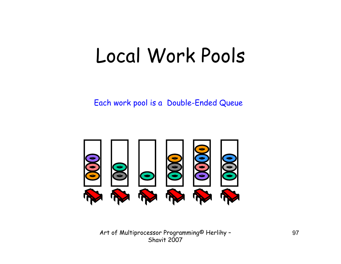### Local Work Pools

Each work pool is a Double-Ended Queue



Art of Multiprocessor Programming<sup>®</sup> Herlihy -Shavit 2007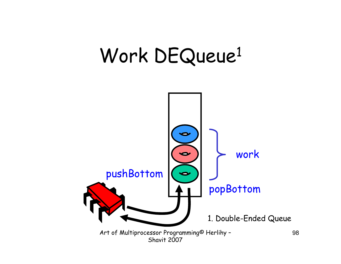## Work DEQueue<sup>1</sup>

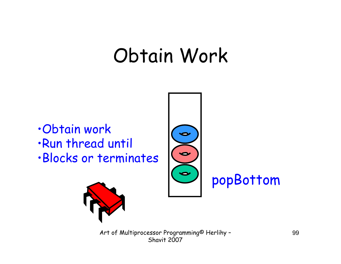### Obtain Work

 $\bullet$ 

 $\bullet$ 

 $\bullet$ 

- •Obtain work
- •Run thread until
- •Blocks or terminates



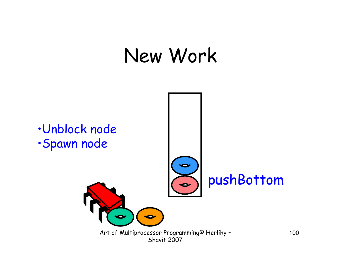### New Work

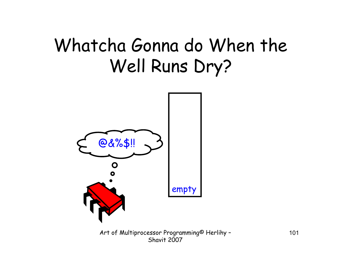#### Whatcha Gonna do When the Well Runs Dry?

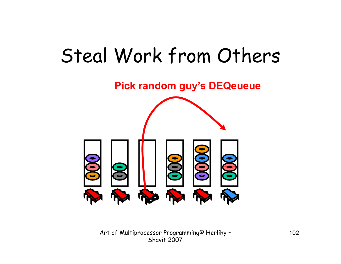### Steal Work from Others

**Pick random guy's DEQeueue** 



Art of Multiprocessor Programming<sup>®</sup> Herlihy -Shavit 2007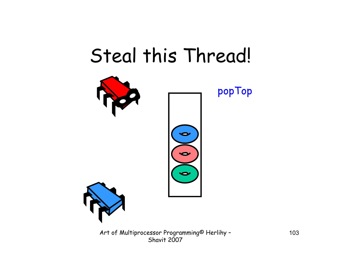### Steal this Thread!



Art of Multiprocessor Programming<sup>®</sup> Herlihy -Shavit 2007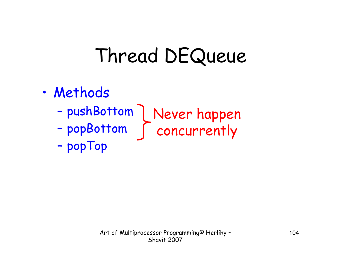# Thread DEQueue

- · Methods
	-
	-

- popTop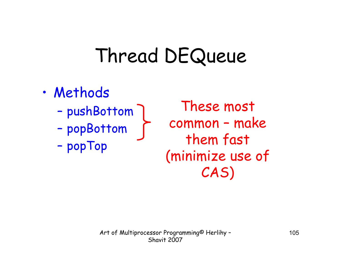# Thread DEQueue

- · Methods
	- pushBottom
	- popBottom
	- popTop

These most common - make them fast (minimize use of CAS)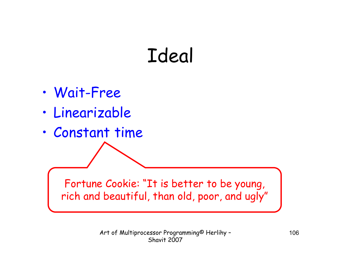## Ideal

- •Wait-Free
- •Linearizable
- •Constant time

Fortune Cookie: "It is better to be young, rich and beautiful, than old, poor, and ugly"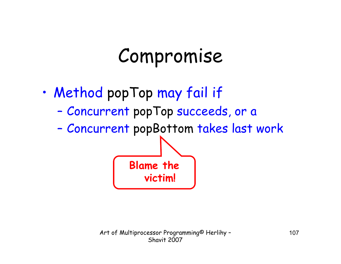### Compromise

- • Method popTop may fail if
	- –Concurrent popTop succeeds, or a

**Blame the** 

**victim!**

–Concurrent popBottom takes last work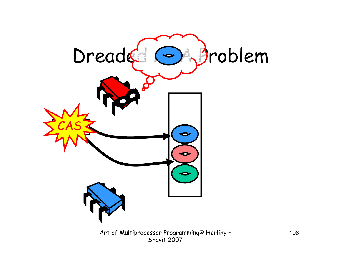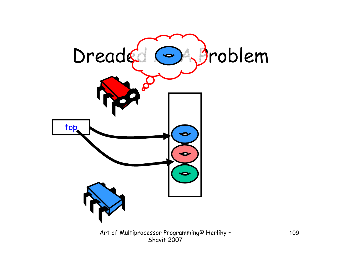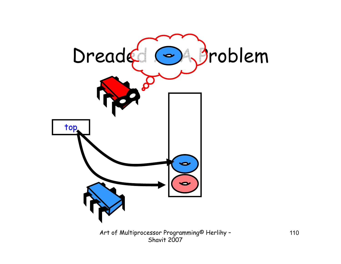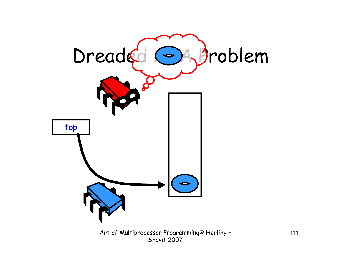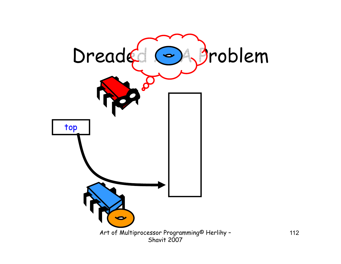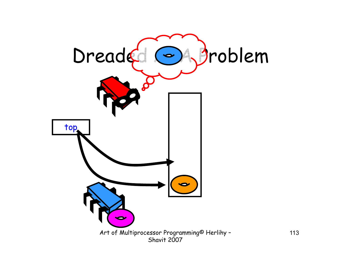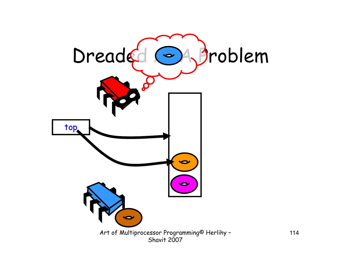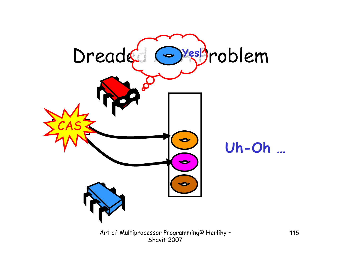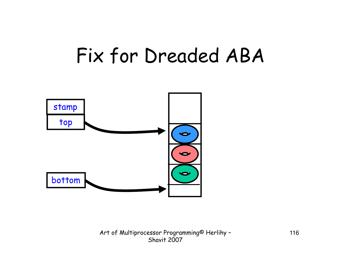#### Fix for Dreaded ABA

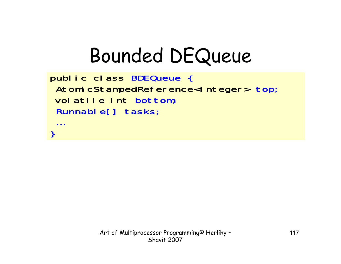### **Bounded DEQueue**

```
public class BDEQueue {
AtomicStampedReference<Integer> top;
volatile int bottom;
 Runnable[] tasks;
```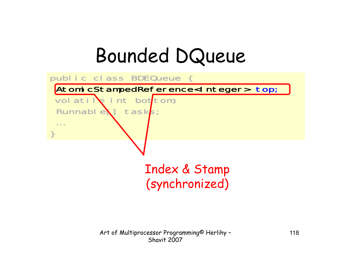#### Bounded DQueue



Art of Multiprocessor Programming© Herlihy – Shavit 2007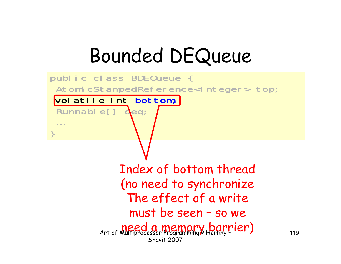### Bounded DEQueue

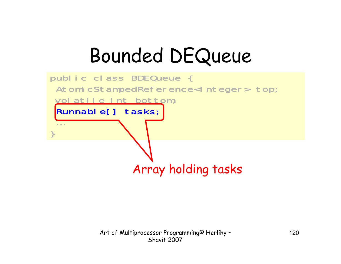### Bounded DEQueue

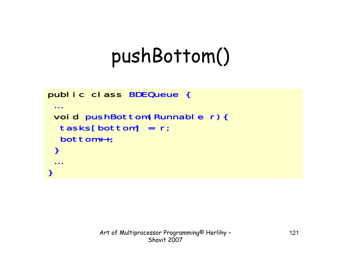## pushBottom()

```
public class BDEQueue {
 \bullet \bullet \bulletvoid pushBottom(Runnable r){
   tasks[bottom] = r;bottom++;
 \mathbf{\}\mathcal{E}
```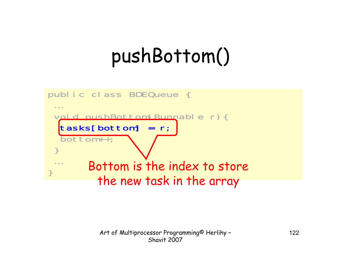## pushBottom()

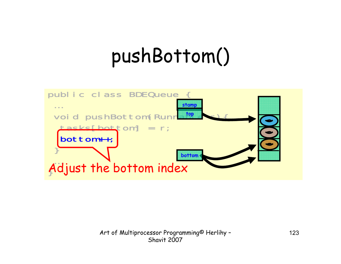## pushBottom()

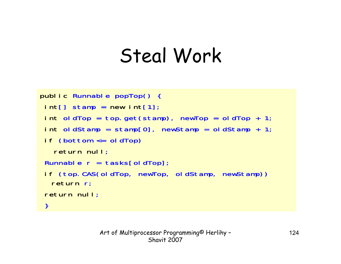```
public Runnable popTop() { 
 int[] stamp = new int[1];
 int oldTop = top.get(stamp), newTop = oldTop + 1;
 int oldStamp = stamp[0], newStamp = oldStamp + 1;
 if (bottom <= oldTop) 
   return null;
 Runnable r = tasks[oldTop];
 if (top.CAS(oldTop, newTop, oldStamp, newStamp)) 
  return r;
 return null;
 }
```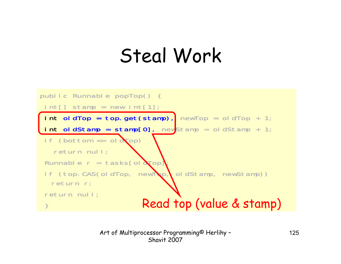

Art of Multiprocessor Programming© Herlihy – Shavit 2007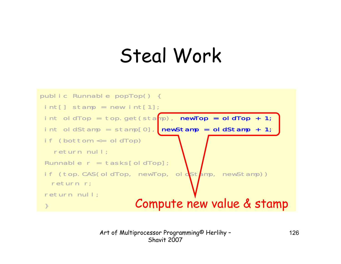

Art of Multiprocessor Programming© Herlihy – Shavit 2007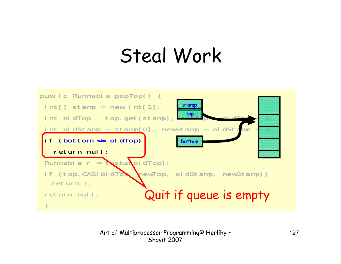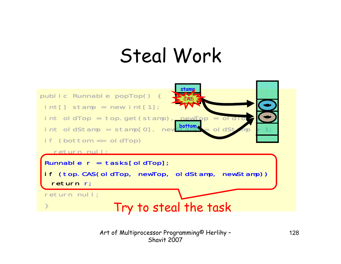

Art of Multiprocessor Programming© Herlihy – Shavit 2007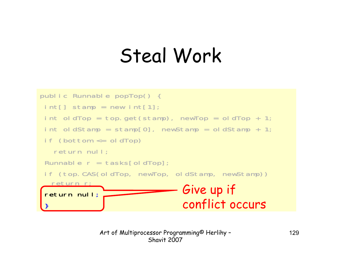```
public Runnable popTop() { 
int[] stamp = new int[1];
int oldTop = top.get(stamp), newTop = oldTop + 1;
 int oldStamp = stamp[0], newStamp = oldStamp + 1;
 if (bottom <= oldTop) 
   return null;
 Runnable r = tasks[oldTop];
 if (top.CAS(oldTop, newTop, oldStamp, newStamp)) 
  return r;
 return null;
 。<br>。
                               Give up if 
                                conflict occurs
```
Art of Multiprocessor Programming© Herlihy – Shavit 2007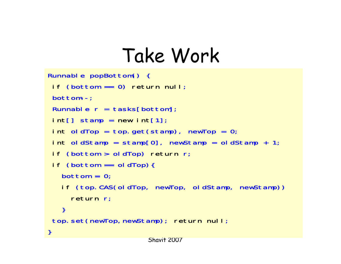```
Runnable popBottom() {
 if (bottom == 0) return null;
 bottom--;
 Runnable r = tasks[bottom];
 int[] stamp = new int[1];
 int oldTop = top.get(stamp), newTop = 0;
 int oldStamp = stamp[0], newStamp = oldStamp + 1;
 if (bottom > oldTop) return r
 if (bottom == oldTop){
   bottom = 0:
   if (top.CAS(oldTop, newTop, oldStamp, newStamp))
     return r;
   }
 top.set(newTop,newStamp); return null;
}
```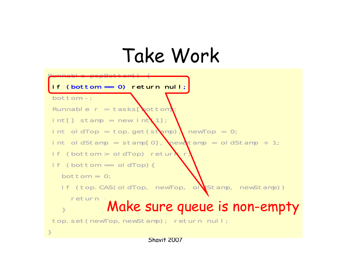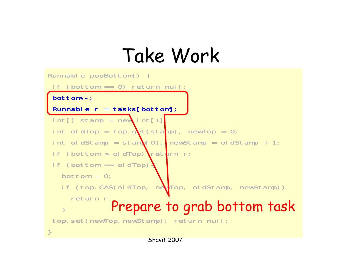```
Runnable popBottom() {
 if (bottom == 0) return null;
bottom--;
Runnable r = tasks[bottom];
int[] stamp = new int[1];
 int oldTop = top.get(stamp), newTop = 0;
 int oldStamp = stam [0], newStamp = oldStamp + 1;
 if (bottom > oldTop) return r;
 if (bottom == old dTop)bottom = 0;
   if (top.CAS(oldTop, newTop, oldStamp, newStamp))
     return r;
   }
top.set(newTop,newStamp); return null;
}
             Prepare to grab bottom task
```
Shavit 2007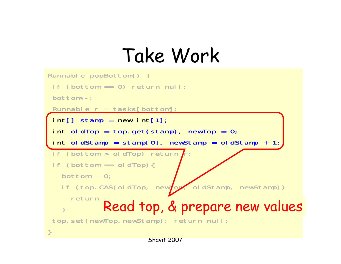```
Runnable popBottom() {
 if (bottom == 0) return null;bottom--;
Runnable r = tasks[bottom];
int[] stamp = new int[1];
 int oldTop = top.get(stamp), newTop = 0;
 int oldStamp = stamp[0], newStamp = oldStamp + 1;
if (bottom > oldTop) returnif (bottom == old drop)bottom = 0;if (top.CAS(oldTop, newTop, oldStamp, newStamp))
    return r;
   }
top.set(newTop,newStamp); return null;
}
           Read top, & prepare new values
```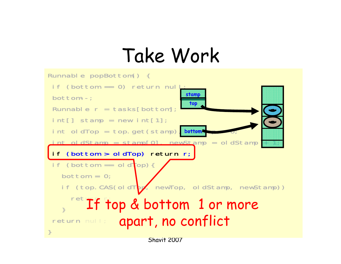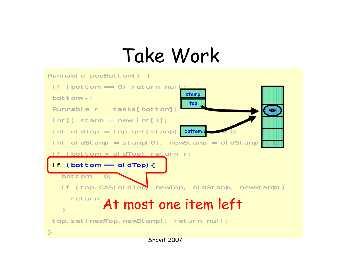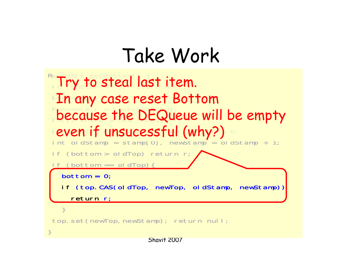```
\mathsf{Run} able popBottom\bigcirc {
 Try to steal last item.
 In any case reset Bottom
 Runnable'r = tasks[bottom];
 because the DEQueue will be empty
 even if unsucessful (why?)
int oldStamp = stamp[0], newStamp = o dStamp + 1;
if (bottom > oldTop) return r;
 if (bottom == oldTop){
  bottom = 0;if (top.CAS(oldTop, newTop, oldStamp, newStamp))
    return r;
  }
top.set(newTop,newStamp); return null;
}
```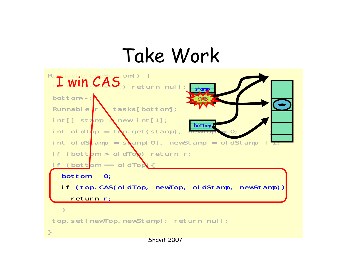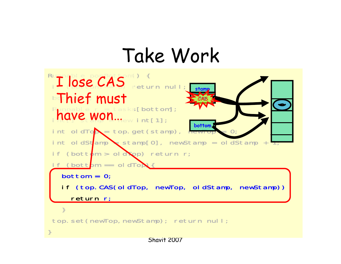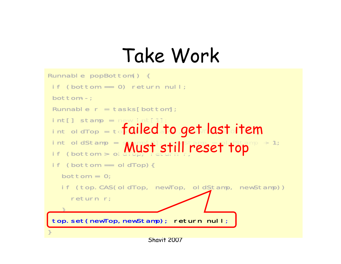```
Runnable popBottom() {
 if (bottom == 0) return null;bottom--;
 Runnable r = tasks[bottom];
 <code>int[]</code> stamp = new <code>int[1]</code>
 int oldTop = tofailed to get last item
 int oldStamp = \epsilon \epsilon \Omega, \Omega \Omega \Omega \Omega \Omega = \Omega \OmegaStamp + 1;
 if (bottom > ol Must still reset top
 if (bottom == old)bottom = 0:
   if (top.CAS(oldTop, newTop, oldStamp, newStamp))
     return r;
   }
 top.set(newTop,newStamp); return null;
}
```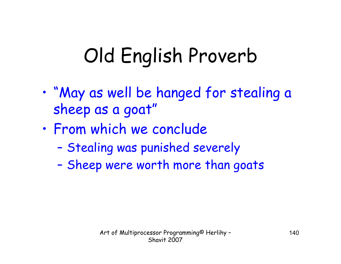## Old English Proverb

- • "May as well be hanged for stealing a sheep as a goat"
- • From which we conclude
	- –Stealing was punished severely
	- –Sheep were worth more than goats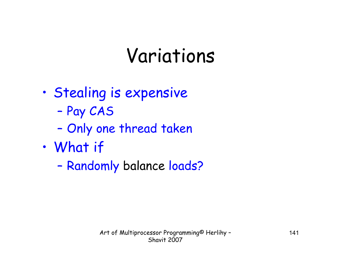### Variations

- • Stealing is expensive
	- –Pay CAS
	- –Only one thread taken
- • What if
	- –Randomly balance loads?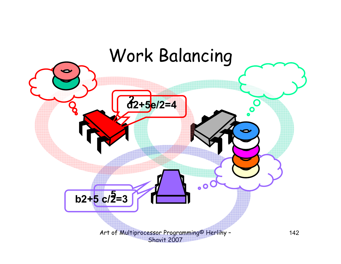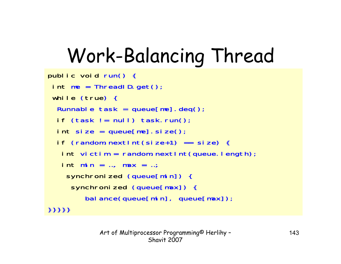# Work-Balancing Thread

```
public void run() {
 int me = ThreadID.get();
 while (true) {
  Runnable task = queue[me]. deq();
  if (task != null) task.run();
  int size = queue[me].size();
  if (random.nextInt(size+1) == size) {
   int victim = random.nextInt(queue.length);
   int min = …, max = …;
    synchronized (queue[min]) {
     synchronized (queue[max]) {
        bal ance (queue [min], queue [\text{max}]);
}}}}}
```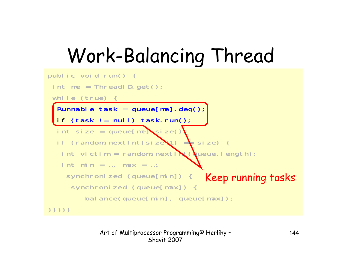# Work-Balancing Thread

```
public void run() {
 int me = ThreadID.get();
 while (true) {
  Runnable task = queue[me].deq();
  if (task != null) task.run();
 int size = queue[me]size()
  if (random.nextint(size+1) = size) {
   int victim = random.next\mathbf{N}t(queue.length);
   int min = ..., max = ...;
    synchronized (queue[min]) {
     synchronized (queue[max]) {
        bal ance (queue [min], queue [max]);
}}}}}
                                    Keep running tasks
```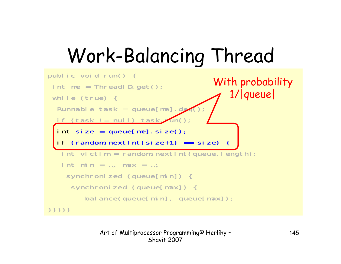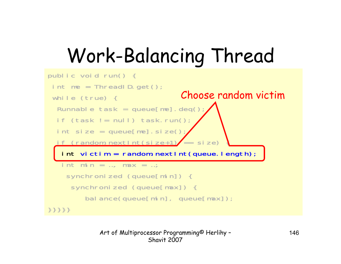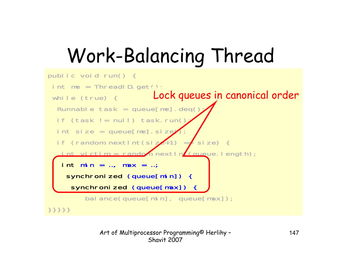```
public void run() {
 int me = ThreadID.get();
 while (true) { Lock queues in canonical order
  Runnable task = queue[me]. deq()
  if (task != null) task.run()int size = queue[me]. size\ellif (random.nextInt(size+1) = \int size) {
   int victim = random.nextlnf(queue.length);
   int \text{mi n} = ..., max = ...;
    synchronized (queue[min]) {
     synchronized (queue[max]) {
        bal ance(queue[min], queue[max]);
}}}}}
```
Art of Multiprocessor Programming© Herlihy – Shavit 2007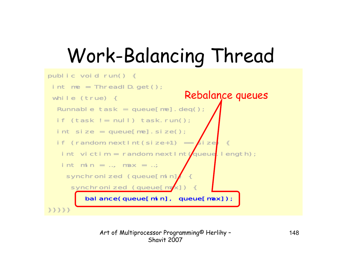```
public void run() {
 int me = ThreadID.get();while (true) {
  Runnable task = queue[me].deq();
  if (task != null) task.run();int size = queue[me] . si ze();
  if (random.nextInt(size+1) == \cancel{\epsilon}ize)
   int victim = random.nextInt\sqrt{q}ueue.length);
   int min = ..., max = ...;
    synchronized (queue[min]
     synchronized (queue[max]
        bal ance(queue[min], queue[max]);
}}}}}
                                Rebalance queues
```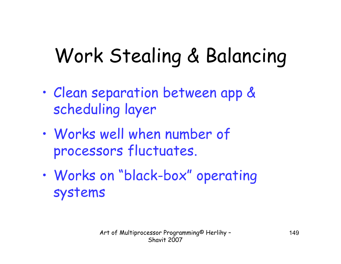### Work Stealing & Balancing

- • Clean separation between app & scheduling layer
- • Works well when number of processors fluctuates.
- • Works on "black-box" operating systems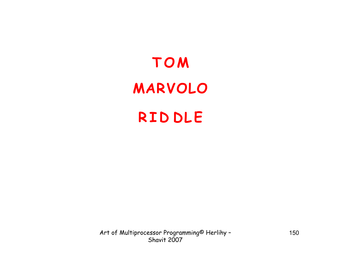### **TOM**  $M$  **ARVOLO RID D L E**

Art of Multiprocessor Programming© Herlihy – Shavit 2007